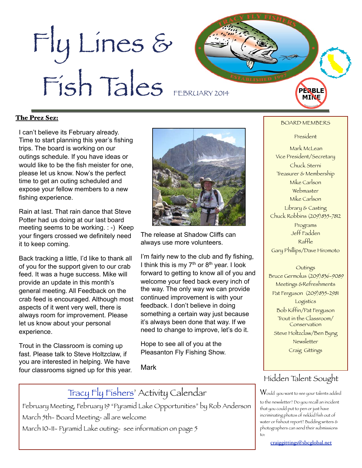# Fly Lines & Fish Tales FEBRUARY 2014

#### The Prez Sez:

I can't believe its February already. Time to start planning this year's fishing trips. The board is working on our outings schedule. If you have ideas or would like to be the fish meister for one, please let us know. Now's the perfect time to get an outing scheduled and expose your fellow members to a new fishing experience.

Rain at last. That rain dance that Steve Potter had us doing at our last board meeting seems to be working. : -) Keep your fingers crossed we definitely need it to keep coming.

Back tracking a little, I'd like to thank all of you for the support given to our crab feed. It was a huge success. Mike will provide an update in this month's general meeting. All Feedback on the crab feed is encouraged. Although most aspects of it went very well, there is always room for improvement. Please let us know about your personal experience.

Trout in the Classroom is coming up fast. Please talk to Steve Holtzclaw, if you are interested in helping. We have four classrooms signed up for this year.



The release at Shadow Cliffs can always use more volunteers.

I'm fairly new to the club and fly fishing, I think this is my  $7<sup>th</sup>$  or  $8<sup>th</sup>$  year. I look forward to getting to know all of you and welcome your feed back every inch of the way. The only way we can provide continued improvement is with your feedback. I don't believe in doing something a certain way just because it's always been done that way. If we need to change to improve, let's do it.

Hope to see all of you at the Pleasanton Fly Fishing Show.

Mark

# [Tracy Fly Fishers'](http://www.tracyflyfishers.org/wp/) Activity Calendar

February Meeting, February 19 "Pyramid Lake Opportunities" by Rob Anderson March 5th- Board Meeting- all are welcome March 10-11- Pyramid Lake outing- see information on page 5

#### BOARD MEMBERS

**PERBLE** MIN

President

Mark McLean Vice President/Secretary Chuck Sterni Treasurer & Membership Mike Carlson Webmaster Mike Carlson Library & Casting Chuck Robbins (209)835-7812 Programs Jeff Fadden Raffle Gary Phillips/Dave Hiromoto

#### **Outings**

 Bruce Germolus (209)836-9089 Meetings &Refreshments Pat Ferguson (209) 835-2981 Logistics Bob Kiffin/Pat Ferguson Trout in the Classroom/ Conservation Steve Holtzclaw/Ben Byng

Newsletter

Craig Gittings

### Hidden Talent Sought

 $\operatorname{\mathsf{W}}$ ould you want to see your talents added

to the newsletter? Do you recall an incident that you could put to pen or just have incriminating photos of nekkid fish out of water or fishout report? Budding writers & photographers can send their submissions to:

[craiggittings@sbcglobal.net](mailto:craiggittings@sbcglobal.net)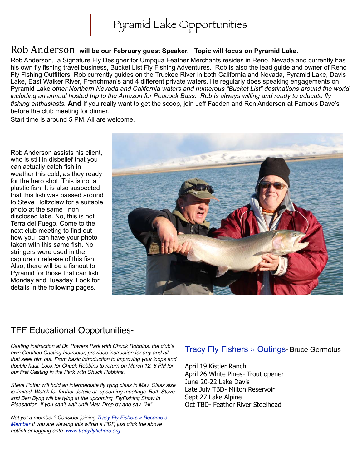# Pyramid Lake Opportunities

# Rob Anderson will be our February guest Speaker. Topic will focus on Pyramid Lake.

Rob Anderson, a Signature Fly Designer for Umpqua Feather Merchants resides in Reno, Nevada and currently has his own fly fishing travel business, Bucket List Fly Fishing Adventures. Rob is also the lead guide and owner of Reno Fly Fishing Outfitters. Rob currently guides on the Truckee River in both California and Nevada, Pyramid Lake, Davis Lake, East Walker River, Frenchman's and 4 different private waters. He regularly does speaking engagements on Pyramid Lake *other Northern Nevada and California waters and numerous "Bucket List" destinations around the world including an annual hosted trip to the Amazon for Peacock Bass. Rob is always willing and ready to educate fly fishing enthusiasts.* **And** if you really want to get the scoop, join Jeff Fadden and Ron Anderson at Famous Dave's before the club meeting for dinner.

Start time is around 5 PM. All are welcome.

Rob Anderson assists his client, who is still in disbelief that you can actually catch fish in weather this cold, as they ready for the hero shot. This is not a plastic fish. It is also suspected that this fish was passed around to Steve Holtzclaw for a suitable photo at the same non disclosed lake. No, this is not Terra del Fuego. Come to the next club meeting to find out how you can have your photo taken with this same fish. No stringers were used in the capture or release of this fish. Also, there will be a fishout to Pyramid for those that can fish Monday and Tuesday. Look for details in the following pages.



# TFF Educational Opportunities-

*Casting instruction at Dr. Powers Park with Chuck Robbins, the club*'*s own Certified Casting Instructor, provides instruction for any and all that seek him out. From basic introduction to improving your loops and double haul. Look for Chuck Robbins to return on March 12, 6 PM for our first Casting in the Park with Chuck Robbins.*

*Steve Potter will hold an intermediate fly tying class in May. Class size is limited. Watch for further details at upcoming meetings. Both Steve and Ben Byng will be tying at the upcoming FlyFishing Show in Pleasanton, if you can*'*t wait until May. Drop by and say, "Hi".*

*Not yet a member? Consider joining [Tracy Fly Fishers » Become a](http://www.tracyflyfishers.org/wp/?page_id=42)  [Member](http://www.tracyflyfishers.org/wp/?page_id=42) If you are viewing this within a PDF, just click the above hotlink or logging onto [www.tracyflyfishers.org.](http://www.tracyflyfishers.org)*

#### [Tracy Fly Fishers » Outings](http://www.tracyflyfishers.org/wp/?page_id=120)- Bruce Germolus

April 19 Kistler Ranch April 26 White Pines- Trout opener June 20-22 Lake Davis Late July TBD- Milton Reservoir Sept 27 Lake Alpine Oct TBD- Feather River Steelhead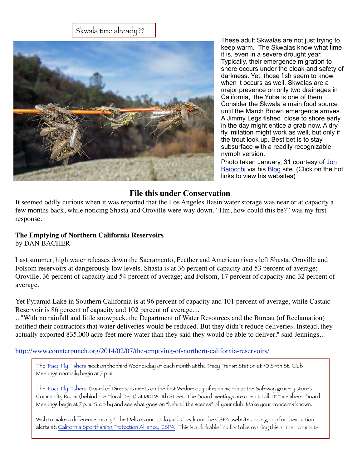#### Skwala time already??



These adult Skwalas are not just trying to keep warm. The Skwalas know what time it is, even in a severe drought year. Typically, their emergence migration to shore occurs under the cloak and safety of darkness. Yet, those fish seem to know when it occurs as well. Skwalas are a major presence on only two drainages in California, the Yuba is one of them. Consider the Skwala a main food source until the March Brown emergence arrives. A Jimmy Legs fished close to shore early in the day might entice a grab now. A dry fly imitation might work as well, but only if the trout look up. Best bet is to stay subsurface with a readily recognizable nymph version.

Photo taken January, 31 courtesy of Jon [Baiocchi](http://baiocchistroutfitters.com/) via his [Blog](http://jonbaiocchiflyfishingnews.blogspot.com/) site. (Click on the hot links to view his websites)

#### **File this under Conservation**

It seemed oddly curious when it was reported that the Los Angeles Basin water storage was near or at capacity a few months back, while noticing Shasta and Oroville were way down. "Hm, how could this be?" was my first response.

#### **The Emptying of Northern California Reservoirs** by DAN BACHER

Last summer, high water releases down the Sacramento, Feather and American rivers left Shasta, Oroville and Folsom reservoirs at dangerously low levels. Shasta is at 36 percent of capacity and 53 percent of average; Oroville, 36 percent of capacity and 54 percent of average; and Folsom, 17 percent of capacity and 32 percent of average.

Yet Pyramid Lake in Southern California is at 96 percent of capacity and 101 percent of average, while Castaic Reservoir is 86 percent of capacity and 102 percent of average…

..."With no rainfall and little snowpack, the Department of Water Resources and the Bureau (of Reclamation) notified their contractors that water deliveries would be reduced. But they didn't reduce deliveries. Instead, they actually exported 835,000 acre-feet more water than they said they would be able to deliver," said Jennings...

<http://www.counterpunch.org/2014/02/07/the-emptying-of-northern-california-reservoirs/>

The [Tracy Fly Fishers](http://www.tracyflyfishers.org/wp/) meet on the third Wednesday of each month at the Tracy Transit Station at 50 Sixth St. Club Meetings normally begin at 7 p.m.

The [Tracy Fly Fishers'](http://www.tracyflyfishers.org/wp/) Board of Directors meets on the first Wednesday of each month at the Safeway grocery store's Community Room (behind the Floral Dept) at 1801 W. 11th Street. The Board meetings are open to all TFF members. Board Meetings begin at 7 p.m. Stop by and see what goes on "behind the scenes" of your club! Make your concerns known.

Wish to make a difference locally? The Delta is our backyard. Check out the CSPA website and sign up for their action alerts at: [California Sportfishing Protection Alliance, CSPA](http://www.calsport.org/) This is a clickable link for folks reading this at their computer.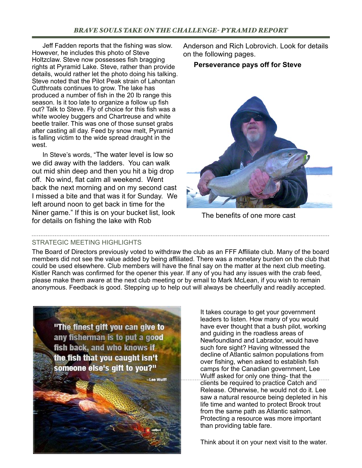Jeff Fadden reports that the fishing was slow. However, he includes this photo of Steve Holtzclaw. Steve now possesses fish bragging rights at Pyramid Lake. Steve, rather than provide details, would rather let the photo doing his talking. Steve noted that the Pilot Peak strain of Lahontan Cutthroats continues to grow. The lake has produced a number of fish in the 20 lb range this season. Is it too late to organize a follow up fish out? Talk to Steve. Fly of choice for this fish was a white wooley buggers and Chartreuse and white beetle trailer. This was one of those sunset grabs after casting all day. Feed by snow melt, Pyramid is falling victim to the wide spread draught in the west.

In Steve's words, "The water level is low so we did away with the ladders. You can walk out mid shin deep and then you hit a big drop off. No wind, flat calm all weekend. Went back the next morning and on my second cast I missed a bite and that was it for Sunday. We left around noon to get back in time for the Niner game." If this is on your bucket list, look for details on fishing the lake with Rob

STRATEGIC MEETING HIGHLIGHTS

The Board of Directors previously voted to withdraw the club as an FFF Affiliate club. Many of the board members did not see the value added by being affiliated. There was a monetary burden on the club that could be used elsewhere. Club members will have the final say on the matter at the next club meeting. Kistler Ranch was confirmed for the opener this year. If any of you had any issues with the crab feed, please make them aware at the next club meeting or by email to Mark McLean, if you wish to remain anonymous. Feedback is good. Stepping up to help out will always be cheerfully and readily accepted.



Anderson and Rich Lobrovich. Look for details on the following pages.

#### **Perseverance pays off for Steve**



The benefits of one more cast

It takes courage to get your government leaders to listen. How many of you would have ever thought that a bush pilot, working and guiding in the roadless areas of Newfoundland and Labrador, would have such fore sight? Having witnessed the decline of Atlantic salmon populations from over fishing, when asked to establish fish camps for the Canadian government, Lee Wulff asked for only one thing- that the clients be required to practice Catch and Release. Otherwise, he would not do it. Lee saw a natural resource being depleted in his life time and wanted to protect Brook trout from the same path as Atlantic salmon. Protecting a resource was more important than providing table fare.

Think about it on your next visit to the water.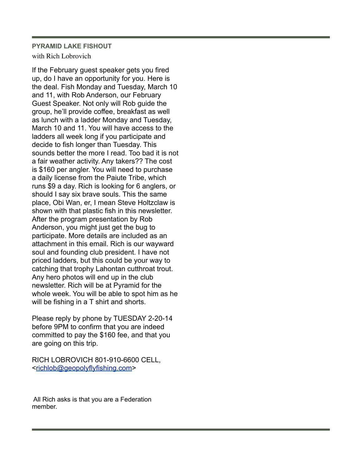#### **PYRAMID LAKE FISHOUT**

#### with Rich Lobrovich

If the February guest speaker gets you fired up, do I have an opportunity for you. Here is the deal. Fish Monday and Tuesday, March 10 and 11, with Rob Anderson, our February Guest Speaker. Not only will Rob guide the group, he'll provide coffee, breakfast as well as lunch with a ladder Monday and Tuesday, March 10 and 11. You will have access to the ladders all week long if you participate and decide to fish longer than Tuesday. This sounds better the more I read. Too bad it is not a fair weather activity. Any takers?? The cost is \$160 per angler. You will need to purchase a daily license from the Paiute Tribe, which runs \$9 a day. Rich is looking for 6 anglers, or should I say six brave souls. This the same place, Obi Wan, er, I mean Steve Holtzclaw is shown with that plastic fish in this newsletter. After the program presentation by Rob Anderson, you might just get the bug to participate. More details are included as an attachment in this email. Rich is our wayward soul and founding club president. I have not priced ladders, but this could be your way to catching that trophy Lahontan cutthroat trout. Any hero photos will end up in the club newsletter. Rich will be at Pyramid for the whole week. You will be able to spot him as he will be fishing in a T shirt and shorts.

Please reply by phone by TUESDAY 2-20-14 before 9PM to confirm that you are indeed committed to pay the \$160 fee, and that you are going on this trip.

RICH LOBROVICH 801-910-6600 CELL, [<richlob@geopolyflyfishing.com>](mailto:richlob@geopolyflyfishing.com)

 All Rich asks is that you are a Federation member.